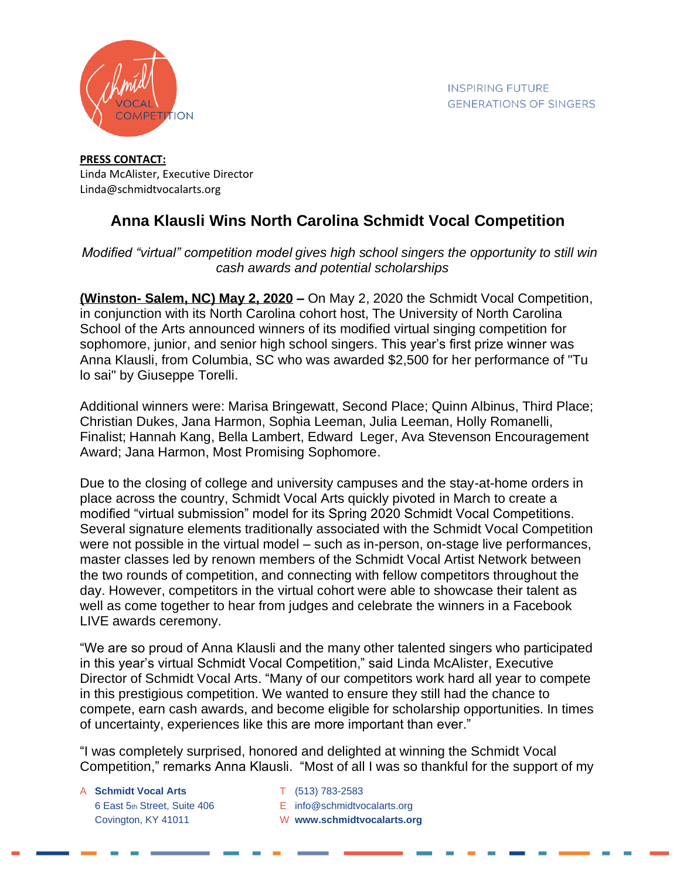

## **PRESS CONTACT:** Linda McAlister, Executive Director Linda@schmidtvocalarts.org

## **Anna Klausli Wins North Carolina Schmidt Vocal Competition**

## *Modified "virtual" competition model gives high school singers the opportunity to still win cash awards and potential scholarships*

**(Winston- Salem, NC) May 2, 2020 –** On May 2, 2020 the Schmidt Vocal Competition, in conjunction with its North Carolina cohort host, The University of North Carolina School of the Arts announced winners of its modified virtual singing competition for sophomore, junior, and senior high school singers. This year's first prize winner was Anna Klausli, from Columbia, SC who was awarded \$2,500 for her performance of "Tu lo sai" by Giuseppe Torelli.

Additional winners were: Marisa Bringewatt, Second Place; Quinn Albinus, Third Place; Christian Dukes, Jana Harmon, Sophia Leeman, Julia Leeman, Holly Romanelli, Finalist; Hannah Kang, Bella Lambert, Edward Leger, Ava Stevenson Encouragement Award; Jana Harmon, Most Promising Sophomore.

Due to the closing of college and university campuses and the stay-at-home orders in place across the country, Schmidt Vocal Arts quickly pivoted in March to create a modified "virtual submission" model for its Spring 2020 Schmidt Vocal Competitions. Several signature elements traditionally associated with the Schmidt Vocal Competition were not possible in the virtual model – such as in-person, on-stage live performances, master classes led by renown members of the Schmidt Vocal Artist Network between the two rounds of competition, and connecting with fellow competitors throughout the day. However, competitors in the virtual cohort were able to showcase their talent as well as come together to hear from judges and celebrate the winners in a Facebook LIVE awards ceremony.

"We are so proud of Anna Klausli and the many other talented singers who participated in this year's virtual Schmidt Vocal Competition," said Linda McAlister, Executive Director of Schmidt Vocal Arts. "Many of our competitors work hard all year to compete in this prestigious competition. We wanted to ensure they still had the chance to compete, earn cash awards, and become eligible for scholarship opportunities. In times of uncertainty, experiences like this are more important than ever."

"I was completely surprised, honored and delighted at winning the Schmidt Vocal Competition," remarks Anna Klausli. "Most of all I was so thankful for the support of my

A **Schmidt Vocal Arts** T (513) 783-2583

- 
- 6 East 5th Street, Suite 406 E info@schmidtvocalarts.org
- Covington, KY 41011 W **www.schmidtvocalarts.org**